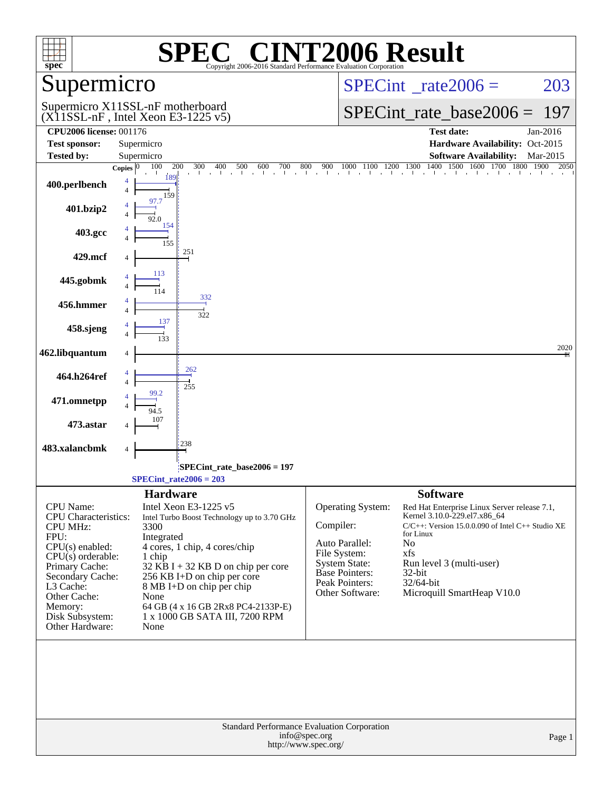| spec <sup>®</sup>                                                                                                                                                                                                                   | Copyright 2006-2016 Standard Performance Evaluation Corporation                                                                                                                                                                                                                                                                   | <b>NT2006 Result</b>                                                                                                                                                                                                                                                                                                                                                                                          |
|-------------------------------------------------------------------------------------------------------------------------------------------------------------------------------------------------------------------------------------|-----------------------------------------------------------------------------------------------------------------------------------------------------------------------------------------------------------------------------------------------------------------------------------------------------------------------------------|---------------------------------------------------------------------------------------------------------------------------------------------------------------------------------------------------------------------------------------------------------------------------------------------------------------------------------------------------------------------------------------------------------------|
| Supermicro                                                                                                                                                                                                                          |                                                                                                                                                                                                                                                                                                                                   | $SPECint^{\circ}$ rate $2006 =$<br>203                                                                                                                                                                                                                                                                                                                                                                        |
|                                                                                                                                                                                                                                     | Supermicro X11SSL-nF motherboard<br>$(X11SSL-nF, Intel Xeon E3-1225 v5)$                                                                                                                                                                                                                                                          | $SPECint_rate_base2006 =$<br>197                                                                                                                                                                                                                                                                                                                                                                              |
| <b>CPU2006 license: 001176</b>                                                                                                                                                                                                      |                                                                                                                                                                                                                                                                                                                                   | <b>Test date:</b><br>Jan-2016                                                                                                                                                                                                                                                                                                                                                                                 |
| <b>Test sponsor:</b>                                                                                                                                                                                                                | Supermicro                                                                                                                                                                                                                                                                                                                        | Hardware Availability: Oct-2015                                                                                                                                                                                                                                                                                                                                                                               |
| <b>Tested by:</b>                                                                                                                                                                                                                   | Supermicro                                                                                                                                                                                                                                                                                                                        | <b>Software Availability:</b><br>Mar-2015<br>1500<br>1600                                                                                                                                                                                                                                                                                                                                                     |
| 400.perlbench                                                                                                                                                                                                                       | 100<br>200<br>300<br>400<br>500<br>600<br>700<br>800<br>Copies $ 0$<br>189<br>4<br>$\overline{4}$<br>159<br>97.7                                                                                                                                                                                                                  | 1400<br>900<br>$1000$ $1100$ $1200$ $1300$ 1<br>1700<br>1800<br>1900<br>2050<br>$\mathbf{I}$                                                                                                                                                                                                                                                                                                                  |
| 401.bzip2                                                                                                                                                                                                                           | 92.0<br>154                                                                                                                                                                                                                                                                                                                       |                                                                                                                                                                                                                                                                                                                                                                                                               |
| 403.gcc                                                                                                                                                                                                                             | 155                                                                                                                                                                                                                                                                                                                               |                                                                                                                                                                                                                                                                                                                                                                                                               |
| 429.mcf                                                                                                                                                                                                                             | 251<br>$\overline{4}$                                                                                                                                                                                                                                                                                                             |                                                                                                                                                                                                                                                                                                                                                                                                               |
| 445.gobmk                                                                                                                                                                                                                           |                                                                                                                                                                                                                                                                                                                                   |                                                                                                                                                                                                                                                                                                                                                                                                               |
| 456.hmmer                                                                                                                                                                                                                           | 332<br>4<br>322                                                                                                                                                                                                                                                                                                                   |                                                                                                                                                                                                                                                                                                                                                                                                               |
| 458.sjeng                                                                                                                                                                                                                           |                                                                                                                                                                                                                                                                                                                                   |                                                                                                                                                                                                                                                                                                                                                                                                               |
| 462.libquantum                                                                                                                                                                                                                      | 4                                                                                                                                                                                                                                                                                                                                 | 2020                                                                                                                                                                                                                                                                                                                                                                                                          |
| 464.h264ref                                                                                                                                                                                                                         | 262<br>4<br>255                                                                                                                                                                                                                                                                                                                   |                                                                                                                                                                                                                                                                                                                                                                                                               |
| 471.omnetpp                                                                                                                                                                                                                         |                                                                                                                                                                                                                                                                                                                                   |                                                                                                                                                                                                                                                                                                                                                                                                               |
| 473.astar                                                                                                                                                                                                                           |                                                                                                                                                                                                                                                                                                                                   |                                                                                                                                                                                                                                                                                                                                                                                                               |
| 483.xalancbmk                                                                                                                                                                                                                       | 238<br>4                                                                                                                                                                                                                                                                                                                          |                                                                                                                                                                                                                                                                                                                                                                                                               |
|                                                                                                                                                                                                                                     | SPECint_rate_base2006 = 197<br>SPECint rate $2006 = 203$                                                                                                                                                                                                                                                                          |                                                                                                                                                                                                                                                                                                                                                                                                               |
|                                                                                                                                                                                                                                     | <b>Hardware</b>                                                                                                                                                                                                                                                                                                                   | <b>Software</b>                                                                                                                                                                                                                                                                                                                                                                                               |
| CPU Name:<br><b>CPU</b> Characteristics:<br><b>CPU MHz:</b><br>FPU:<br>$CPU(s)$ enabled:<br>$CPU(s)$ orderable:<br>Primary Cache:<br>Secondary Cache:<br>L3 Cache:<br>Other Cache:<br>Memory:<br>Disk Subsystem:<br>Other Hardware: | Intel Xeon E3-1225 v5<br>Intel Turbo Boost Technology up to 3.70 GHz<br>3300<br>Integrated<br>4 cores, 1 chip, 4 cores/chip<br>1 chip<br>$32$ KB I + 32 KB D on chip per core<br>256 KB I+D on chip per core<br>8 MB I+D on chip per chip<br>None<br>64 GB (4 x 16 GB 2Rx8 PC4-2133P-E)<br>1 x 1000 GB SATA III, 7200 RPM<br>None | Operating System:<br>Red Hat Enterprise Linux Server release 7.1,<br>Kernel 3.10.0-229.el7.x86_64<br>Compiler:<br>$C/C++$ : Version 15.0.0.090 of Intel $C++$ Studio XE<br>for Linux<br>Auto Parallel:<br>No<br>File System:<br>xfs<br><b>System State:</b><br>Run level 3 (multi-user)<br><b>Base Pointers:</b><br>$32$ -bit<br>Peak Pointers:<br>32/64-bit<br>Other Software:<br>Microquill SmartHeap V10.0 |
|                                                                                                                                                                                                                                     | Standard Performance Evaluation Corporation<br>info@spec.org<br>http://www.spec.org/                                                                                                                                                                                                                                              | Page 1                                                                                                                                                                                                                                                                                                                                                                                                        |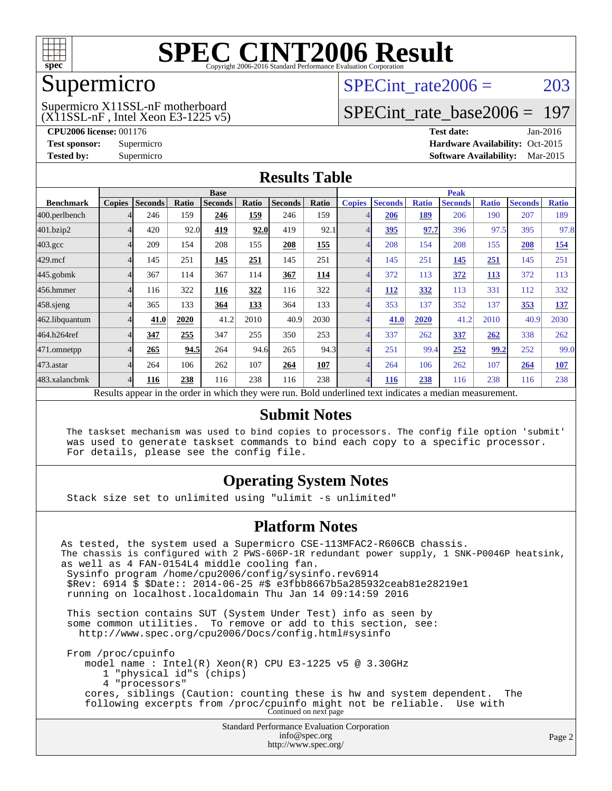

### Supermicro

#### $(X11SSL-nF$ , Intel Xeon E3-1225 v5) Supermicro X11SSL-nF motherboard

SPECint rate $2006 = 203$ 

## [SPECint\\_rate\\_base2006 =](http://www.spec.org/auto/cpu2006/Docs/result-fields.html#SPECintratebase2006) 197

**[CPU2006 license:](http://www.spec.org/auto/cpu2006/Docs/result-fields.html#CPU2006license)** 001176 **[Test date:](http://www.spec.org/auto/cpu2006/Docs/result-fields.html#Testdate)** Jan-2016 **[Test sponsor:](http://www.spec.org/auto/cpu2006/Docs/result-fields.html#Testsponsor)** Supermicro Supermicro **[Hardware Availability:](http://www.spec.org/auto/cpu2006/Docs/result-fields.html#HardwareAvailability)** Oct-2015 **[Tested by:](http://www.spec.org/auto/cpu2006/Docs/result-fields.html#Testedby)** Supermicro **Supermicro [Software Availability:](http://www.spec.org/auto/cpu2006/Docs/result-fields.html#SoftwareAvailability)** Mar-2015

#### **[Results Table](http://www.spec.org/auto/cpu2006/Docs/result-fields.html#ResultsTable)**

|                                                                                                          | <b>Base</b>   |                |       |                |       |                |            | <b>Peak</b>   |                |              |                |              |                |              |
|----------------------------------------------------------------------------------------------------------|---------------|----------------|-------|----------------|-------|----------------|------------|---------------|----------------|--------------|----------------|--------------|----------------|--------------|
| <b>Benchmark</b>                                                                                         | <b>Copies</b> | <b>Seconds</b> | Ratio | <b>Seconds</b> | Ratio | <b>Seconds</b> | Ratio      | <b>Copies</b> | <b>Seconds</b> | <b>Ratio</b> | <b>Seconds</b> | <b>Ratio</b> | <b>Seconds</b> | <b>Ratio</b> |
| 400.perlbench                                                                                            |               | 246            | 159   | 246            | 159   | 246            | 159        |               | 206            | 189          | 206            | 190          | 207            | 189          |
| 401.bzip2                                                                                                |               | 420            | 92.0  | 419            | 92.0  | 419            | 92.1       |               | <u>395</u>     | 97.7         | 396            | 97.5         | 395            | 97.8         |
| $403.\mathrm{gcc}$                                                                                       |               | 209            | 154   | 208            | 155   | 208            | 155        |               | 208            | 154          | 208            | 155          | 208            | 154          |
| $429$ .mcf                                                                                               |               | 145            | 251   | 145            | 251   | 145            | 251        |               | 145            | 251          | 145            | 251          | 145            | 251          |
| $445$ .gobm $k$                                                                                          |               | 367            | 114   | 367            | 114   | 367            | <u>114</u> |               | 372            | 113          | 372            | <b>113</b>   | 372            | 113          |
| 456.hmmer                                                                                                |               | 116            | 322   | 116            | 322   | 116            | 322        |               | 112            | 332          | 113            | 331          | 112            | 332          |
| $458$ .sjeng                                                                                             |               | 365            | 133   | 364            | 133   | 364            | 133        |               | 353            | 137          | 352            | 137          | 353            | <u>137</u>   |
| 462.libquantum                                                                                           |               | 41.0           | 2020  | 41.2           | 2010  | 40.9           | 2030       |               | 41.0           | 2020         | 41.2           | 2010         | 40.9           | 2030         |
| 464.h264ref                                                                                              |               | 347            | 255   | 347            | 255   | 350            | 253        |               | 337            | 262          | 337            | 262          | 338            | 262          |
| 471.omnetpp                                                                                              |               | 265            | 94.5  | 264            | 94.6  | 265            | 94.3       |               | 251            | 99.4         | 252            | 99.2         | 252            | 99.0         |
| 473.astar                                                                                                |               | 264            | 106   | 262            | 107   | 264            | 107        |               | 264            | 106          | 262            | 107          | 264            | <b>107</b>   |
| 483.xalancbmk                                                                                            | 4             | 116            | 238   | 116            | 238   | 116            | 238        | 4             | <b>116</b>     | 238          | 116            | 238          | 116            | 238          |
| Results appear in the order in which they were run. Bold underlined text indicates a median measurement. |               |                |       |                |       |                |            |               |                |              |                |              |                |              |

#### **[Submit Notes](http://www.spec.org/auto/cpu2006/Docs/result-fields.html#SubmitNotes)**

 The taskset mechanism was used to bind copies to processors. The config file option 'submit' was used to generate taskset commands to bind each copy to a specific processor. For details, please see the config file.

#### **[Operating System Notes](http://www.spec.org/auto/cpu2006/Docs/result-fields.html#OperatingSystemNotes)**

Stack size set to unlimited using "ulimit -s unlimited"

#### **[Platform Notes](http://www.spec.org/auto/cpu2006/Docs/result-fields.html#PlatformNotes)**

Standard Performance Evaluation Corporation [info@spec.org](mailto:info@spec.org) As tested, the system used a Supermicro CSE-113MFAC2-R606CB chassis. The chassis is configured with 2 PWS-606P-1R redundant power supply, 1 SNK-P0046P heatsink, as well as 4 FAN-0154L4 middle cooling fan. Sysinfo program /home/cpu2006/config/sysinfo.rev6914 \$Rev: 6914 \$ \$Date:: 2014-06-25 #\$ e3fbb8667b5a285932ceab81e28219e1 running on localhost.localdomain Thu Jan 14 09:14:59 2016 This section contains SUT (System Under Test) info as seen by some common utilities. To remove or add to this section, see: <http://www.spec.org/cpu2006/Docs/config.html#sysinfo> From /proc/cpuinfo model name : Intel(R) Xeon(R) CPU E3-1225 v5 @ 3.30GHz 1 "physical id"s (chips) 4 "processors" cores, siblings (Caution: counting these is hw and system dependent. The following excerpts from /proc/cpuinfo might not be reliable. Use with Continued on next page

<http://www.spec.org/>

Page 2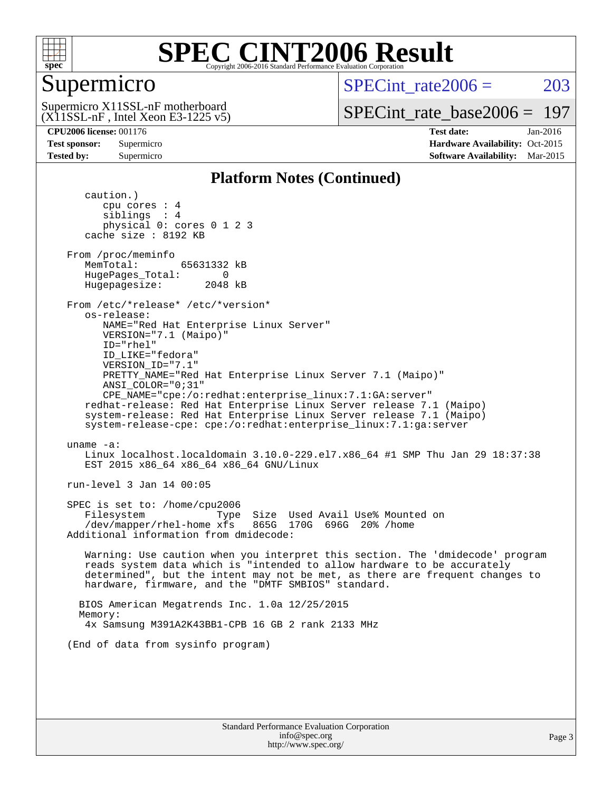

## Supermicro

SPECint rate $2006 = 203$ 

 $(X11SSL-nF,$  Intel Xeon E3-1225 v5) Supermicro X11SSL-nF motherboard

[SPECint\\_rate\\_base2006 =](http://www.spec.org/auto/cpu2006/Docs/result-fields.html#SPECintratebase2006) 197

**[CPU2006 license:](http://www.spec.org/auto/cpu2006/Docs/result-fields.html#CPU2006license)** 001176 **[Test date:](http://www.spec.org/auto/cpu2006/Docs/result-fields.html#Testdate)** Jan-2016 **[Test sponsor:](http://www.spec.org/auto/cpu2006/Docs/result-fields.html#Testsponsor)** Supermicro Supermicro **[Hardware Availability:](http://www.spec.org/auto/cpu2006/Docs/result-fields.html#HardwareAvailability)** Oct-2015 **[Tested by:](http://www.spec.org/auto/cpu2006/Docs/result-fields.html#Testedby)** Supermicro **Supermicro [Software Availability:](http://www.spec.org/auto/cpu2006/Docs/result-fields.html#SoftwareAvailability)** Mar-2015

#### **[Platform Notes \(Continued\)](http://www.spec.org/auto/cpu2006/Docs/result-fields.html#PlatformNotes)**

 caution.) cpu cores : 4 siblings : 4 physical 0: cores 0 1 2 3 cache size : 8192 KB From /proc/meminfo MemTotal: 65631332 kB HugePages\_Total: 0<br>Hugepagesize: 2048 kB Hugepagesize: From /etc/\*release\* /etc/\*version\* os-release: NAME="Red Hat Enterprise Linux Server" VERSION="7.1 (Maipo)" ID="rhel" ID\_LIKE="fedora" VERSION\_ID="7.1" PRETTY\_NAME="Red Hat Enterprise Linux Server 7.1 (Maipo)" ANSI\_COLOR="0;31" CPE\_NAME="cpe:/o:redhat:enterprise\_linux:7.1:GA:server" redhat-release: Red Hat Enterprise Linux Server release 7.1 (Maipo) system-release: Red Hat Enterprise Linux Server release 7.1 (Maipo) system-release-cpe: cpe:/o:redhat:enterprise\_linux:7.1:ga:server uname -a: Linux localhost.localdomain 3.10.0-229.el7.x86\_64 #1 SMP Thu Jan 29 18:37:38 EST 2015 x86\_64 x86\_64 x86\_64 GNU/Linux run-level 3 Jan 14 00:05 SPEC is set to: /home/cpu2006 Filesystem Type Size Used Avail Use% Mounted on  $/$ dev/mapper/rhel-home xfs Additional information from dmidecode: Warning: Use caution when you interpret this section. The 'dmidecode' program reads system data which is "intended to allow hardware to be accurately determined", but the intent may not be met, as there are frequent changes to hardware, firmware, and the "DMTF SMBIOS" standard. BIOS American Megatrends Inc. 1.0a 12/25/2015 Memory: 4x Samsung M391A2K43BB1-CPB 16 GB 2 rank 2133 MHz (End of data from sysinfo program)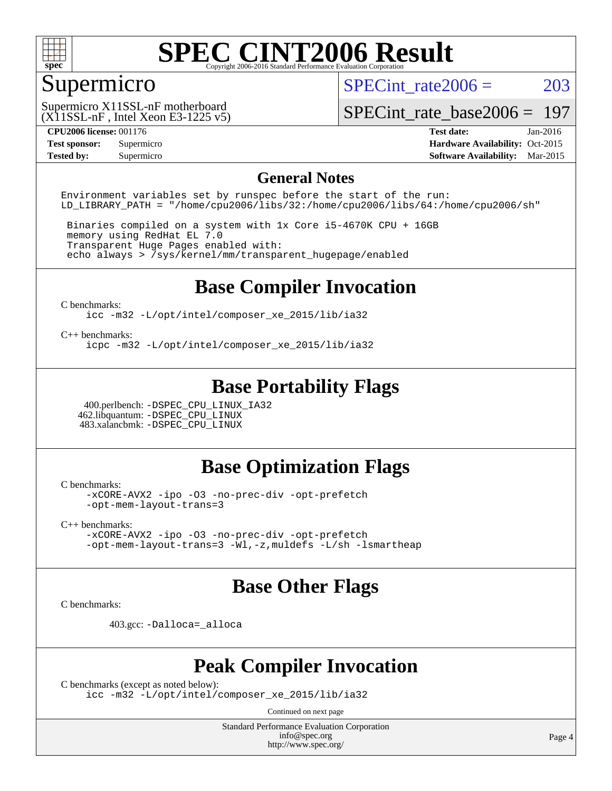

## Supermicro

SPECint rate $2006 = 203$ 

 $(X11SSL-nF$ , Intel Xeon E3-1225 v5) Supermicro X11SSL-nF motherboard

[SPECint\\_rate\\_base2006 =](http://www.spec.org/auto/cpu2006/Docs/result-fields.html#SPECintratebase2006) 197

**[CPU2006 license:](http://www.spec.org/auto/cpu2006/Docs/result-fields.html#CPU2006license)** 001176 **[Test date:](http://www.spec.org/auto/cpu2006/Docs/result-fields.html#Testdate)** Jan-2016 **[Test sponsor:](http://www.spec.org/auto/cpu2006/Docs/result-fields.html#Testsponsor)** Supermicro Supermicro **[Hardware Availability:](http://www.spec.org/auto/cpu2006/Docs/result-fields.html#HardwareAvailability)** Oct-2015 **[Tested by:](http://www.spec.org/auto/cpu2006/Docs/result-fields.html#Testedby)** Supermicro **Supermicro [Software Availability:](http://www.spec.org/auto/cpu2006/Docs/result-fields.html#SoftwareAvailability)** Mar-2015

#### **[General Notes](http://www.spec.org/auto/cpu2006/Docs/result-fields.html#GeneralNotes)**

Environment variables set by runspec before the start of the run: LD LIBRARY PATH = "/home/cpu2006/libs/32:/home/cpu2006/libs/64:/home/cpu2006/sh"

 Binaries compiled on a system with 1x Core i5-4670K CPU + 16GB memory using RedHat EL 7.0 Transparent Huge Pages enabled with: echo always > /sys/kernel/mm/transparent\_hugepage/enabled

### **[Base Compiler Invocation](http://www.spec.org/auto/cpu2006/Docs/result-fields.html#BaseCompilerInvocation)**

[C benchmarks](http://www.spec.org/auto/cpu2006/Docs/result-fields.html#Cbenchmarks):

[icc -m32 -L/opt/intel/composer\\_xe\\_2015/lib/ia32](http://www.spec.org/cpu2006/results/res2016q1/cpu2006-20160120-38726.flags.html#user_CCbase_intel_icc_011b86df29f8c679b747245588698a4d)

[C++ benchmarks:](http://www.spec.org/auto/cpu2006/Docs/result-fields.html#CXXbenchmarks)

[icpc -m32 -L/opt/intel/composer\\_xe\\_2015/lib/ia32](http://www.spec.org/cpu2006/results/res2016q1/cpu2006-20160120-38726.flags.html#user_CXXbase_intel_icpc_c2c99686a1a582c3e0de0b4806b02cea)

### **[Base Portability Flags](http://www.spec.org/auto/cpu2006/Docs/result-fields.html#BasePortabilityFlags)**

 400.perlbench: [-DSPEC\\_CPU\\_LINUX\\_IA32](http://www.spec.org/cpu2006/results/res2016q1/cpu2006-20160120-38726.flags.html#b400.perlbench_baseCPORTABILITY_DSPEC_CPU_LINUX_IA32) 462.libquantum: [-DSPEC\\_CPU\\_LINUX](http://www.spec.org/cpu2006/results/res2016q1/cpu2006-20160120-38726.flags.html#b462.libquantum_baseCPORTABILITY_DSPEC_CPU_LINUX) 483.xalancbmk: [-DSPEC\\_CPU\\_LINUX](http://www.spec.org/cpu2006/results/res2016q1/cpu2006-20160120-38726.flags.html#b483.xalancbmk_baseCXXPORTABILITY_DSPEC_CPU_LINUX)

#### **[Base Optimization Flags](http://www.spec.org/auto/cpu2006/Docs/result-fields.html#BaseOptimizationFlags)**

[C benchmarks](http://www.spec.org/auto/cpu2006/Docs/result-fields.html#Cbenchmarks):

[-xCORE-AVX2](http://www.spec.org/cpu2006/results/res2016q1/cpu2006-20160120-38726.flags.html#user_CCbase_f-xAVX2_5f5fc0cbe2c9f62c816d3e45806c70d7) [-ipo](http://www.spec.org/cpu2006/results/res2016q1/cpu2006-20160120-38726.flags.html#user_CCbase_f-ipo) [-O3](http://www.spec.org/cpu2006/results/res2016q1/cpu2006-20160120-38726.flags.html#user_CCbase_f-O3) [-no-prec-div](http://www.spec.org/cpu2006/results/res2016q1/cpu2006-20160120-38726.flags.html#user_CCbase_f-no-prec-div) [-opt-prefetch](http://www.spec.org/cpu2006/results/res2016q1/cpu2006-20160120-38726.flags.html#user_CCbase_f-opt-prefetch) [-opt-mem-layout-trans=3](http://www.spec.org/cpu2006/results/res2016q1/cpu2006-20160120-38726.flags.html#user_CCbase_f-opt-mem-layout-trans_a7b82ad4bd7abf52556d4961a2ae94d5)

[C++ benchmarks:](http://www.spec.org/auto/cpu2006/Docs/result-fields.html#CXXbenchmarks)

[-xCORE-AVX2](http://www.spec.org/cpu2006/results/res2016q1/cpu2006-20160120-38726.flags.html#user_CXXbase_f-xAVX2_5f5fc0cbe2c9f62c816d3e45806c70d7) [-ipo](http://www.spec.org/cpu2006/results/res2016q1/cpu2006-20160120-38726.flags.html#user_CXXbase_f-ipo) [-O3](http://www.spec.org/cpu2006/results/res2016q1/cpu2006-20160120-38726.flags.html#user_CXXbase_f-O3) [-no-prec-div](http://www.spec.org/cpu2006/results/res2016q1/cpu2006-20160120-38726.flags.html#user_CXXbase_f-no-prec-div) [-opt-prefetch](http://www.spec.org/cpu2006/results/res2016q1/cpu2006-20160120-38726.flags.html#user_CXXbase_f-opt-prefetch) [-opt-mem-layout-trans=3](http://www.spec.org/cpu2006/results/res2016q1/cpu2006-20160120-38726.flags.html#user_CXXbase_f-opt-mem-layout-trans_a7b82ad4bd7abf52556d4961a2ae94d5) [-Wl,-z,muldefs](http://www.spec.org/cpu2006/results/res2016q1/cpu2006-20160120-38726.flags.html#user_CXXbase_link_force_multiple1_74079c344b956b9658436fd1b6dd3a8a) [-L/sh -lsmartheap](http://www.spec.org/cpu2006/results/res2016q1/cpu2006-20160120-38726.flags.html#user_CXXbase_SmartHeap_32f6c82aa1ed9c52345d30cf6e4a0499)

### **[Base Other Flags](http://www.spec.org/auto/cpu2006/Docs/result-fields.html#BaseOtherFlags)**

[C benchmarks](http://www.spec.org/auto/cpu2006/Docs/result-fields.html#Cbenchmarks):

403.gcc: [-Dalloca=\\_alloca](http://www.spec.org/cpu2006/results/res2016q1/cpu2006-20160120-38726.flags.html#b403.gcc_baseEXTRA_CFLAGS_Dalloca_be3056838c12de2578596ca5467af7f3)

#### **[Peak Compiler Invocation](http://www.spec.org/auto/cpu2006/Docs/result-fields.html#PeakCompilerInvocation)**

[C benchmarks \(except as noted below\)](http://www.spec.org/auto/cpu2006/Docs/result-fields.html#Cbenchmarksexceptasnotedbelow):

[icc -m32 -L/opt/intel/composer\\_xe\\_2015/lib/ia32](http://www.spec.org/cpu2006/results/res2016q1/cpu2006-20160120-38726.flags.html#user_CCpeak_intel_icc_011b86df29f8c679b747245588698a4d)

Continued on next page

Standard Performance Evaluation Corporation [info@spec.org](mailto:info@spec.org) <http://www.spec.org/>

Page 4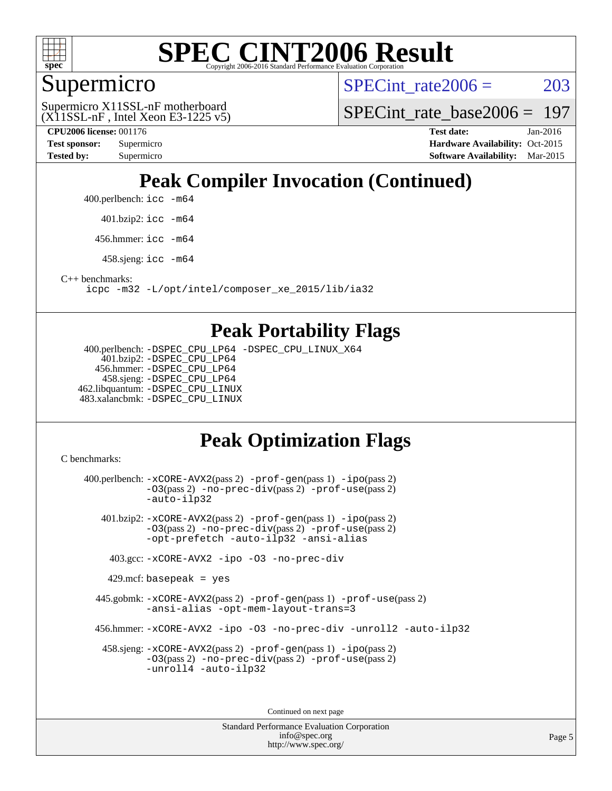

### Supermicro

SPECint rate $2006 = 203$ 

 $(X11SSL-nF,$  Intel Xeon E3-1225 v5) Supermicro X11SSL-nF motherboard

SPECint rate base  $2006 = 197$ 

**[CPU2006 license:](http://www.spec.org/auto/cpu2006/Docs/result-fields.html#CPU2006license)** 001176 **[Test date:](http://www.spec.org/auto/cpu2006/Docs/result-fields.html#Testdate)** Jan-2016

**[Test sponsor:](http://www.spec.org/auto/cpu2006/Docs/result-fields.html#Testsponsor)** Supermicro Supermicro **[Hardware Availability:](http://www.spec.org/auto/cpu2006/Docs/result-fields.html#HardwareAvailability)** Oct-2015 **[Tested by:](http://www.spec.org/auto/cpu2006/Docs/result-fields.html#Testedby)** Supermicro **Supermicro [Software Availability:](http://www.spec.org/auto/cpu2006/Docs/result-fields.html#SoftwareAvailability)** Mar-2015

# **[Peak Compiler Invocation \(Continued\)](http://www.spec.org/auto/cpu2006/Docs/result-fields.html#PeakCompilerInvocation)**

400.perlbench: [icc -m64](http://www.spec.org/cpu2006/results/res2016q1/cpu2006-20160120-38726.flags.html#user_peakCCLD400_perlbench_intel_icc_64bit_bda6cc9af1fdbb0edc3795bac97ada53)

401.bzip2: [icc -m64](http://www.spec.org/cpu2006/results/res2016q1/cpu2006-20160120-38726.flags.html#user_peakCCLD401_bzip2_intel_icc_64bit_bda6cc9af1fdbb0edc3795bac97ada53)

456.hmmer: [icc -m64](http://www.spec.org/cpu2006/results/res2016q1/cpu2006-20160120-38726.flags.html#user_peakCCLD456_hmmer_intel_icc_64bit_bda6cc9af1fdbb0edc3795bac97ada53)

458.sjeng: [icc -m64](http://www.spec.org/cpu2006/results/res2016q1/cpu2006-20160120-38726.flags.html#user_peakCCLD458_sjeng_intel_icc_64bit_bda6cc9af1fdbb0edc3795bac97ada53)

[C++ benchmarks:](http://www.spec.org/auto/cpu2006/Docs/result-fields.html#CXXbenchmarks)

[icpc -m32 -L/opt/intel/composer\\_xe\\_2015/lib/ia32](http://www.spec.org/cpu2006/results/res2016q1/cpu2006-20160120-38726.flags.html#user_CXXpeak_intel_icpc_c2c99686a1a582c3e0de0b4806b02cea)

#### **[Peak Portability Flags](http://www.spec.org/auto/cpu2006/Docs/result-fields.html#PeakPortabilityFlags)**

 400.perlbench: [-DSPEC\\_CPU\\_LP64](http://www.spec.org/cpu2006/results/res2016q1/cpu2006-20160120-38726.flags.html#b400.perlbench_peakCPORTABILITY_DSPEC_CPU_LP64) [-DSPEC\\_CPU\\_LINUX\\_X64](http://www.spec.org/cpu2006/results/res2016q1/cpu2006-20160120-38726.flags.html#b400.perlbench_peakCPORTABILITY_DSPEC_CPU_LINUX_X64) 401.bzip2: [-DSPEC\\_CPU\\_LP64](http://www.spec.org/cpu2006/results/res2016q1/cpu2006-20160120-38726.flags.html#suite_peakCPORTABILITY401_bzip2_DSPEC_CPU_LP64) 456.hmmer: [-DSPEC\\_CPU\\_LP64](http://www.spec.org/cpu2006/results/res2016q1/cpu2006-20160120-38726.flags.html#suite_peakCPORTABILITY456_hmmer_DSPEC_CPU_LP64) 458.sjeng: [-DSPEC\\_CPU\\_LP64](http://www.spec.org/cpu2006/results/res2016q1/cpu2006-20160120-38726.flags.html#suite_peakCPORTABILITY458_sjeng_DSPEC_CPU_LP64) 462.libquantum: [-DSPEC\\_CPU\\_LINUX](http://www.spec.org/cpu2006/results/res2016q1/cpu2006-20160120-38726.flags.html#b462.libquantum_peakCPORTABILITY_DSPEC_CPU_LINUX) 483.xalancbmk: [-DSPEC\\_CPU\\_LINUX](http://www.spec.org/cpu2006/results/res2016q1/cpu2006-20160120-38726.flags.html#b483.xalancbmk_peakCXXPORTABILITY_DSPEC_CPU_LINUX)

## **[Peak Optimization Flags](http://www.spec.org/auto/cpu2006/Docs/result-fields.html#PeakOptimizationFlags)**

[C benchmarks](http://www.spec.org/auto/cpu2006/Docs/result-fields.html#Cbenchmarks):

 400.perlbench: [-xCORE-AVX2](http://www.spec.org/cpu2006/results/res2016q1/cpu2006-20160120-38726.flags.html#user_peakPASS2_CFLAGSPASS2_LDCFLAGS400_perlbench_f-xAVX2_5f5fc0cbe2c9f62c816d3e45806c70d7)(pass 2) [-prof-gen](http://www.spec.org/cpu2006/results/res2016q1/cpu2006-20160120-38726.flags.html#user_peakPASS1_CFLAGSPASS1_LDCFLAGS400_perlbench_prof_gen_e43856698f6ca7b7e442dfd80e94a8fc)(pass 1) [-ipo](http://www.spec.org/cpu2006/results/res2016q1/cpu2006-20160120-38726.flags.html#user_peakPASS2_CFLAGSPASS2_LDCFLAGS400_perlbench_f-ipo)(pass 2) [-O3](http://www.spec.org/cpu2006/results/res2016q1/cpu2006-20160120-38726.flags.html#user_peakPASS2_CFLAGSPASS2_LDCFLAGS400_perlbench_f-O3)(pass 2) [-no-prec-div](http://www.spec.org/cpu2006/results/res2016q1/cpu2006-20160120-38726.flags.html#user_peakPASS2_CFLAGSPASS2_LDCFLAGS400_perlbench_f-no-prec-div)(pass 2) [-prof-use](http://www.spec.org/cpu2006/results/res2016q1/cpu2006-20160120-38726.flags.html#user_peakPASS2_CFLAGSPASS2_LDCFLAGS400_perlbench_prof_use_bccf7792157ff70d64e32fe3e1250b55)(pass 2) [-auto-ilp32](http://www.spec.org/cpu2006/results/res2016q1/cpu2006-20160120-38726.flags.html#user_peakCOPTIMIZE400_perlbench_f-auto-ilp32) 401.bzip2: [-xCORE-AVX2](http://www.spec.org/cpu2006/results/res2016q1/cpu2006-20160120-38726.flags.html#user_peakPASS2_CFLAGSPASS2_LDCFLAGS401_bzip2_f-xAVX2_5f5fc0cbe2c9f62c816d3e45806c70d7)(pass 2) [-prof-gen](http://www.spec.org/cpu2006/results/res2016q1/cpu2006-20160120-38726.flags.html#user_peakPASS1_CFLAGSPASS1_LDCFLAGS401_bzip2_prof_gen_e43856698f6ca7b7e442dfd80e94a8fc)(pass 1) [-ipo](http://www.spec.org/cpu2006/results/res2016q1/cpu2006-20160120-38726.flags.html#user_peakPASS2_CFLAGSPASS2_LDCFLAGS401_bzip2_f-ipo)(pass 2) [-O3](http://www.spec.org/cpu2006/results/res2016q1/cpu2006-20160120-38726.flags.html#user_peakPASS2_CFLAGSPASS2_LDCFLAGS401_bzip2_f-O3)(pass 2) [-no-prec-div](http://www.spec.org/cpu2006/results/res2016q1/cpu2006-20160120-38726.flags.html#user_peakPASS2_CFLAGSPASS2_LDCFLAGS401_bzip2_f-no-prec-div)(pass 2) [-prof-use](http://www.spec.org/cpu2006/results/res2016q1/cpu2006-20160120-38726.flags.html#user_peakPASS2_CFLAGSPASS2_LDCFLAGS401_bzip2_prof_use_bccf7792157ff70d64e32fe3e1250b55)(pass 2) [-opt-prefetch](http://www.spec.org/cpu2006/results/res2016q1/cpu2006-20160120-38726.flags.html#user_peakCOPTIMIZE401_bzip2_f-opt-prefetch) [-auto-ilp32](http://www.spec.org/cpu2006/results/res2016q1/cpu2006-20160120-38726.flags.html#user_peakCOPTIMIZE401_bzip2_f-auto-ilp32) [-ansi-alias](http://www.spec.org/cpu2006/results/res2016q1/cpu2006-20160120-38726.flags.html#user_peakCOPTIMIZE401_bzip2_f-ansi-alias) 403.gcc: [-xCORE-AVX2](http://www.spec.org/cpu2006/results/res2016q1/cpu2006-20160120-38726.flags.html#user_peakCOPTIMIZE403_gcc_f-xAVX2_5f5fc0cbe2c9f62c816d3e45806c70d7) [-ipo](http://www.spec.org/cpu2006/results/res2016q1/cpu2006-20160120-38726.flags.html#user_peakCOPTIMIZE403_gcc_f-ipo) [-O3](http://www.spec.org/cpu2006/results/res2016q1/cpu2006-20160120-38726.flags.html#user_peakCOPTIMIZE403_gcc_f-O3) [-no-prec-div](http://www.spec.org/cpu2006/results/res2016q1/cpu2006-20160120-38726.flags.html#user_peakCOPTIMIZE403_gcc_f-no-prec-div)  $429$ .mcf: basepeak = yes 445.gobmk: [-xCORE-AVX2](http://www.spec.org/cpu2006/results/res2016q1/cpu2006-20160120-38726.flags.html#user_peakPASS2_CFLAGSPASS2_LDCFLAGS445_gobmk_f-xAVX2_5f5fc0cbe2c9f62c816d3e45806c70d7)(pass 2) [-prof-gen](http://www.spec.org/cpu2006/results/res2016q1/cpu2006-20160120-38726.flags.html#user_peakPASS1_CFLAGSPASS1_LDCFLAGS445_gobmk_prof_gen_e43856698f6ca7b7e442dfd80e94a8fc)(pass 1) [-prof-use](http://www.spec.org/cpu2006/results/res2016q1/cpu2006-20160120-38726.flags.html#user_peakPASS2_CFLAGSPASS2_LDCFLAGS445_gobmk_prof_use_bccf7792157ff70d64e32fe3e1250b55)(pass 2) [-ansi-alias](http://www.spec.org/cpu2006/results/res2016q1/cpu2006-20160120-38726.flags.html#user_peakCOPTIMIZE445_gobmk_f-ansi-alias) [-opt-mem-layout-trans=3](http://www.spec.org/cpu2006/results/res2016q1/cpu2006-20160120-38726.flags.html#user_peakCOPTIMIZE445_gobmk_f-opt-mem-layout-trans_a7b82ad4bd7abf52556d4961a2ae94d5) 456.hmmer: [-xCORE-AVX2](http://www.spec.org/cpu2006/results/res2016q1/cpu2006-20160120-38726.flags.html#user_peakCOPTIMIZE456_hmmer_f-xAVX2_5f5fc0cbe2c9f62c816d3e45806c70d7) [-ipo](http://www.spec.org/cpu2006/results/res2016q1/cpu2006-20160120-38726.flags.html#user_peakCOPTIMIZE456_hmmer_f-ipo) [-O3](http://www.spec.org/cpu2006/results/res2016q1/cpu2006-20160120-38726.flags.html#user_peakCOPTIMIZE456_hmmer_f-O3) [-no-prec-div](http://www.spec.org/cpu2006/results/res2016q1/cpu2006-20160120-38726.flags.html#user_peakCOPTIMIZE456_hmmer_f-no-prec-div) [-unroll2](http://www.spec.org/cpu2006/results/res2016q1/cpu2006-20160120-38726.flags.html#user_peakCOPTIMIZE456_hmmer_f-unroll_784dae83bebfb236979b41d2422d7ec2) [-auto-ilp32](http://www.spec.org/cpu2006/results/res2016q1/cpu2006-20160120-38726.flags.html#user_peakCOPTIMIZE456_hmmer_f-auto-ilp32) 458.sjeng: [-xCORE-AVX2](http://www.spec.org/cpu2006/results/res2016q1/cpu2006-20160120-38726.flags.html#user_peakPASS2_CFLAGSPASS2_LDCFLAGS458_sjeng_f-xAVX2_5f5fc0cbe2c9f62c816d3e45806c70d7)(pass 2) [-prof-gen](http://www.spec.org/cpu2006/results/res2016q1/cpu2006-20160120-38726.flags.html#user_peakPASS1_CFLAGSPASS1_LDCFLAGS458_sjeng_prof_gen_e43856698f6ca7b7e442dfd80e94a8fc)(pass 1) [-ipo](http://www.spec.org/cpu2006/results/res2016q1/cpu2006-20160120-38726.flags.html#user_peakPASS2_CFLAGSPASS2_LDCFLAGS458_sjeng_f-ipo)(pass 2) [-O3](http://www.spec.org/cpu2006/results/res2016q1/cpu2006-20160120-38726.flags.html#user_peakPASS2_CFLAGSPASS2_LDCFLAGS458_sjeng_f-O3)(pass 2) [-no-prec-div](http://www.spec.org/cpu2006/results/res2016q1/cpu2006-20160120-38726.flags.html#user_peakPASS2_CFLAGSPASS2_LDCFLAGS458_sjeng_f-no-prec-div)(pass 2) [-prof-use](http://www.spec.org/cpu2006/results/res2016q1/cpu2006-20160120-38726.flags.html#user_peakPASS2_CFLAGSPASS2_LDCFLAGS458_sjeng_prof_use_bccf7792157ff70d64e32fe3e1250b55)(pass 2) [-unroll4](http://www.spec.org/cpu2006/results/res2016q1/cpu2006-20160120-38726.flags.html#user_peakCOPTIMIZE458_sjeng_f-unroll_4e5e4ed65b7fd20bdcd365bec371b81f) [-auto-ilp32](http://www.spec.org/cpu2006/results/res2016q1/cpu2006-20160120-38726.flags.html#user_peakCOPTIMIZE458_sjeng_f-auto-ilp32)

> Standard Performance Evaluation Corporation [info@spec.org](mailto:info@spec.org) <http://www.spec.org/>

Continued on next page